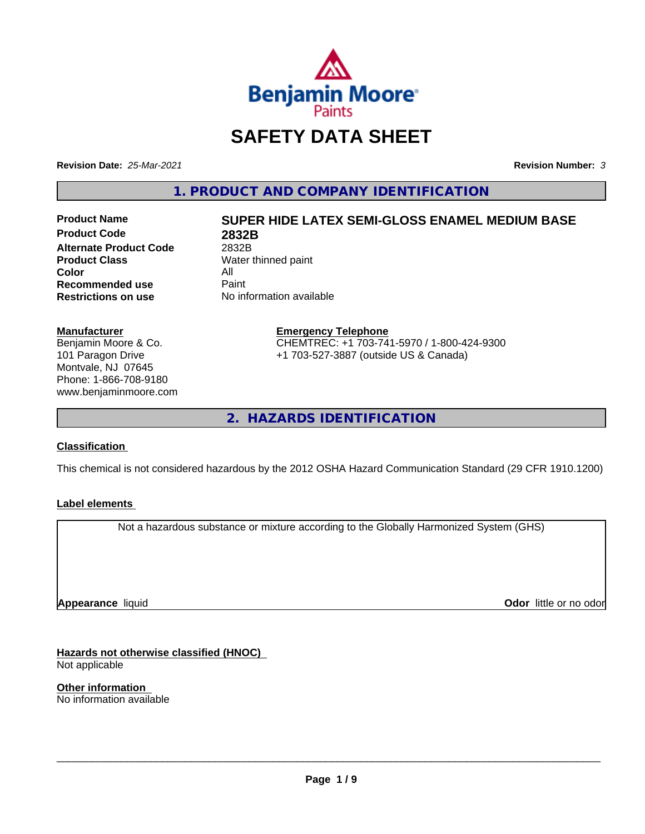

# **SAFETY DATA SHEET**

**Revision Date:** *25-Mar-2021* **Revision Number:** *3*

**1. PRODUCT AND COMPANY IDENTIFICATION**

**Product Code 2832B Alternate Product Code** 2832B<br> **Product Class** Water **Color** All<br> **Recommended use** Paint **Recommended use**<br>Restrictions on use

# **Product Name SUPER HIDE LATEX SEMI-GLOSS ENAMEL MEDIUM BASE**

**Water thinned paint Restrictions on use** No information available

#### **Manufacturer**

Benjamin Moore & Co. 101 Paragon Drive Montvale, NJ 07645 Phone: 1-866-708-9180 www.benjaminmoore.com

#### **Emergency Telephone** CHEMTREC: +1 703-741-5970 / 1-800-424-9300 +1 703-527-3887 (outside US & Canada)

**2. HAZARDS IDENTIFICATION**

#### **Classification**

This chemical is not considered hazardous by the 2012 OSHA Hazard Communication Standard (29 CFR 1910.1200)

#### **Label elements**

Not a hazardous substance or mixture according to the Globally Harmonized System (GHS)

**Appearance** liquid

**Odor** little or no odor

**Hazards not otherwise classified (HNOC)** Not applicable

**Other information** No information available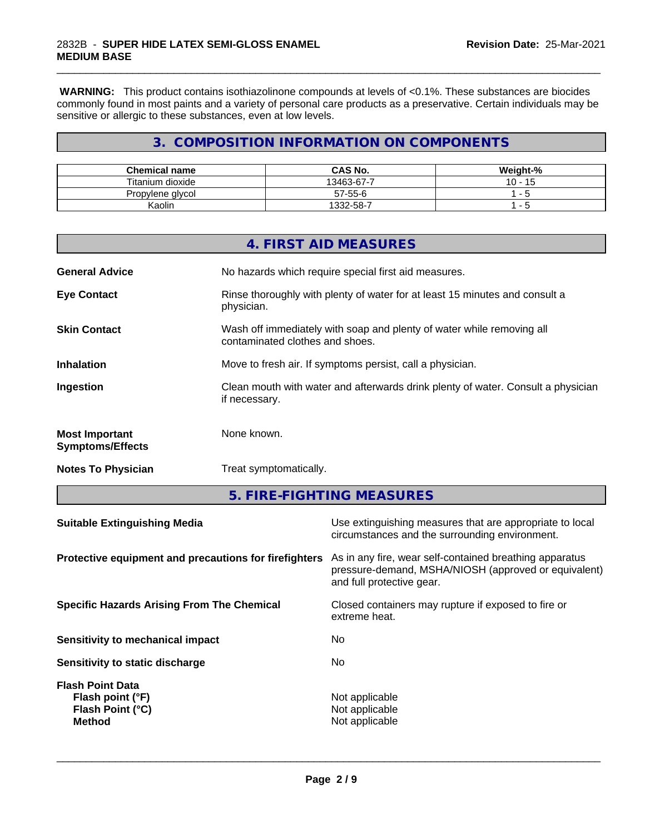**WARNING:** This product contains isothiazolinone compounds at levels of <0.1%. These substances are biocides commonly found in most paints and a variety of personal care products as a preservative. Certain individuals may be sensitive or allergic to these substances, even at low levels.

\_\_\_\_\_\_\_\_\_\_\_\_\_\_\_\_\_\_\_\_\_\_\_\_\_\_\_\_\_\_\_\_\_\_\_\_\_\_\_\_\_\_\_\_\_\_\_\_\_\_\_\_\_\_\_\_\_\_\_\_\_\_\_\_\_\_\_\_\_\_\_\_\_\_\_\_\_\_\_\_\_\_\_\_\_\_\_\_\_\_\_\_\_

## **3. COMPOSITION INFORMATION ON COMPONENTS**

| <b>Chemical name</b> | <b>CAS No.</b> | Weight-%  |
|----------------------|----------------|-----------|
| Titanium dioxide     | 13463-67-7     | 10<br>. . |
| Propylene glycol     | 57-55-6        |           |
| Kaolin               | 1332-58-.<br>- | . .       |

|                                                  | 4. FIRST AID MEASURES                                                                                    |
|--------------------------------------------------|----------------------------------------------------------------------------------------------------------|
| <b>General Advice</b>                            | No hazards which require special first aid measures.                                                     |
| <b>Eye Contact</b>                               | Rinse thoroughly with plenty of water for at least 15 minutes and consult a<br>physician.                |
| <b>Skin Contact</b>                              | Wash off immediately with soap and plenty of water while removing all<br>contaminated clothes and shoes. |
| <b>Inhalation</b>                                | Move to fresh air. If symptoms persist, call a physician.                                                |
| Ingestion                                        | Clean mouth with water and afterwards drink plenty of water. Consult a physician<br>if necessary.        |
| <b>Most Important</b><br><b>Symptoms/Effects</b> | None known.                                                                                              |
| <b>Notes To Physician</b>                        | Treat symptomatically.                                                                                   |
|                                                  |                                                                                                          |

**5. FIRE-FIGHTING MEASURES**

| <b>Suitable Extinguishing Media</b>                                              | Use extinguishing measures that are appropriate to local<br>circumstances and the surrounding environment.                                   |
|----------------------------------------------------------------------------------|----------------------------------------------------------------------------------------------------------------------------------------------|
| Protective equipment and precautions for firefighters                            | As in any fire, wear self-contained breathing apparatus<br>pressure-demand, MSHA/NIOSH (approved or equivalent)<br>and full protective gear. |
| <b>Specific Hazards Arising From The Chemical</b>                                | Closed containers may rupture if exposed to fire or<br>extreme heat.                                                                         |
| Sensitivity to mechanical impact                                                 | No                                                                                                                                           |
| Sensitivity to static discharge                                                  | No.                                                                                                                                          |
| <b>Flash Point Data</b><br>Flash point (°F)<br>Flash Point (°C)<br><b>Method</b> | Not applicable<br>Not applicable<br>Not applicable                                                                                           |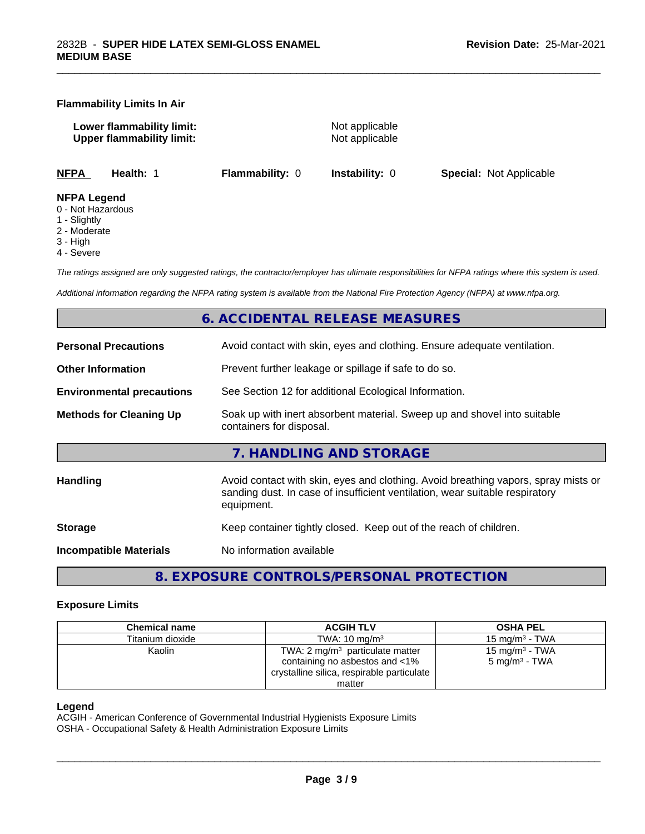#### **Flammability Limits In Air**

**Lower flammability limit:** Not applicable **Upper flammability limit:** Not applicable

\_\_\_\_\_\_\_\_\_\_\_\_\_\_\_\_\_\_\_\_\_\_\_\_\_\_\_\_\_\_\_\_\_\_\_\_\_\_\_\_\_\_\_\_\_\_\_\_\_\_\_\_\_\_\_\_\_\_\_\_\_\_\_\_\_\_\_\_\_\_\_\_\_\_\_\_\_\_\_\_\_\_\_\_\_\_\_\_\_\_\_\_\_

**NFPA Health:** 1 **Flammability:** 0 **Instability:** 0 **Special:** Not Applicable

#### **NFPA Legend**

- 0 Not Hazardous
- 1 Slightly
- 2 Moderate
- 3 High
- 4 Severe

*The ratings assigned are only suggested ratings, the contractor/employer has ultimate responsibilities for NFPA ratings where this system is used.*

*Additional information regarding the NFPA rating system is available from the National Fire Protection Agency (NFPA) at www.nfpa.org.*

## **6. ACCIDENTAL RELEASE MEASURES**

| <b>Personal Precautions</b>                                                                                                            | Avoid contact with skin, eyes and clothing. Ensure adequate ventilation.                                                                                                         |  |  |
|----------------------------------------------------------------------------------------------------------------------------------------|----------------------------------------------------------------------------------------------------------------------------------------------------------------------------------|--|--|
| <b>Other Information</b>                                                                                                               | Prevent further leakage or spillage if safe to do so.                                                                                                                            |  |  |
| <b>Environmental precautions</b>                                                                                                       | See Section 12 for additional Ecological Information.                                                                                                                            |  |  |
| Soak up with inert absorbent material. Sweep up and shovel into suitable<br><b>Methods for Cleaning Up</b><br>containers for disposal. |                                                                                                                                                                                  |  |  |
|                                                                                                                                        | 7. HANDLING AND STORAGE                                                                                                                                                          |  |  |
| <b>Handling</b>                                                                                                                        | Avoid contact with skin, eyes and clothing. Avoid breathing vapors, spray mists or<br>sanding dust. In case of insufficient ventilation, wear suitable respiratory<br>equipment. |  |  |
| <b>Storage</b>                                                                                                                         | Keep container tightly closed. Keep out of the reach of children.                                                                                                                |  |  |
| <b>Incompatible Materials</b>                                                                                                          | No information available                                                                                                                                                         |  |  |
|                                                                                                                                        |                                                                                                                                                                                  |  |  |

**8. EXPOSURE CONTROLS/PERSONAL PROTECTION**

#### **Exposure Limits**

| <b>Chemical name</b> | <b>ACGIH TLV</b>                           | <b>OSHA PEL</b>            |
|----------------------|--------------------------------------------|----------------------------|
| Titanium dioxide     | TWA: $10 \text{ ma/m}^3$                   | 15 mg/m $3$ - TWA          |
| Kaolin               | TWA: 2 $mg/m3$ particulate matter          | 15 mg/m <sup>3</sup> - TWA |
|                      | containing no asbestos and <1%             | 5 mg/m <sup>3</sup> - TWA  |
|                      | crystalline silica, respirable particulate |                            |
|                      | matter                                     |                            |

#### **Legend**

ACGIH - American Conference of Governmental Industrial Hygienists Exposure Limits

OSHA - Occupational Safety & Health Administration Exposure Limits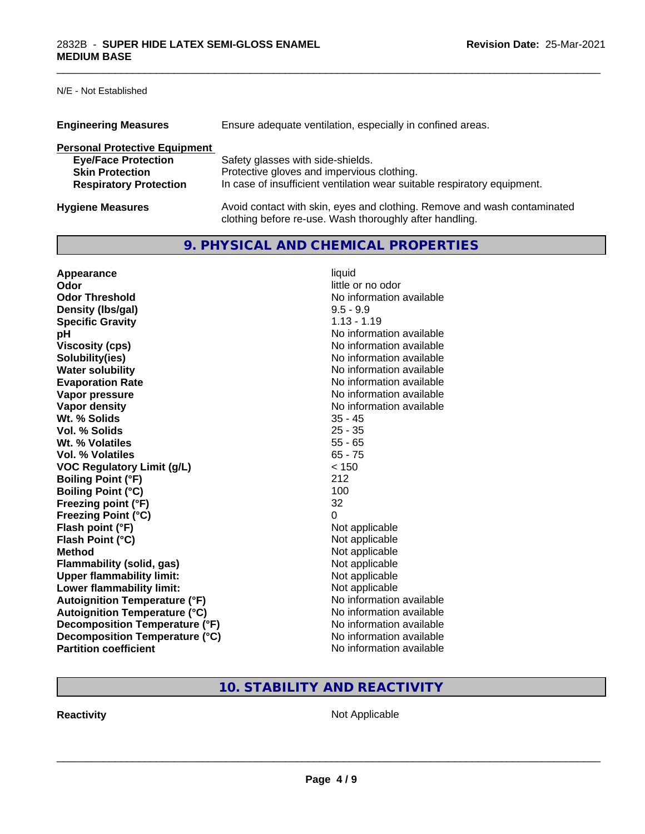N/E - Not Established

| <b>Engineering Measures</b><br>Ensure adequate ventilation, especially in confined areas. |                                                                                                                                     |  |
|-------------------------------------------------------------------------------------------|-------------------------------------------------------------------------------------------------------------------------------------|--|
| <b>Personal Protective Equipment</b>                                                      |                                                                                                                                     |  |
| <b>Eye/Face Protection</b>                                                                | Safety glasses with side-shields.                                                                                                   |  |
| <b>Skin Protection</b>                                                                    | Protective gloves and impervious clothing.                                                                                          |  |
| <b>Respiratory Protection</b>                                                             | In case of insufficient ventilation wear suitable respiratory equipment.                                                            |  |
| <b>Hygiene Measures</b>                                                                   | Avoid contact with skin, eyes and clothing. Remove and wash contaminated<br>clothing before re-use. Wash thoroughly after handling. |  |

\_\_\_\_\_\_\_\_\_\_\_\_\_\_\_\_\_\_\_\_\_\_\_\_\_\_\_\_\_\_\_\_\_\_\_\_\_\_\_\_\_\_\_\_\_\_\_\_\_\_\_\_\_\_\_\_\_\_\_\_\_\_\_\_\_\_\_\_\_\_\_\_\_\_\_\_\_\_\_\_\_\_\_\_\_\_\_\_\_\_\_\_\_

## **9. PHYSICAL AND CHEMICAL PROPERTIES**

| Appearance                           | liquid                   |
|--------------------------------------|--------------------------|
| Odor                                 | little or no odor        |
| <b>Odor Threshold</b>                | No information available |
| Density (Ibs/gal)                    | $9.5 - 9.9$              |
| <b>Specific Gravity</b>              | $1.13 - 1.19$            |
| рH                                   | No information available |
| <b>Viscosity (cps)</b>               | No information available |
| Solubility(ies)                      | No information available |
| <b>Water solubility</b>              | No information available |
| <b>Evaporation Rate</b>              | No information available |
| Vapor pressure                       | No information available |
| <b>Vapor density</b>                 | No information available |
| Wt. % Solids                         | $35 - 45$                |
| Vol. % Solids                        | $25 - 35$                |
| Wt. % Volatiles                      | $55 - 65$                |
| Vol. % Volatiles                     | $65 - 75$                |
| <b>VOC Regulatory Limit (g/L)</b>    | < 150                    |
| <b>Boiling Point (°F)</b>            | 212                      |
| <b>Boiling Point (°C)</b>            | 100                      |
| Freezing point (°F)                  | 32                       |
| <b>Freezing Point (°C)</b>           | 0                        |
| Flash point (°F)                     | Not applicable           |
| Flash Point (°C)                     | Not applicable           |
| <b>Method</b>                        | Not applicable           |
| Flammability (solid, gas)            | Not applicable           |
| <b>Upper flammability limit:</b>     | Not applicable           |
| Lower flammability limit:            | Not applicable           |
| <b>Autoignition Temperature (°F)</b> | No information available |
| <b>Autoignition Temperature (°C)</b> | No information available |
| Decomposition Temperature (°F)       | No information available |
| Decomposition Temperature (°C)       | No information available |
| <b>Partition coefficient</b>         | No information available |

## **10. STABILITY AND REACTIVITY**

**Reactivity Not Applicable** Not Applicable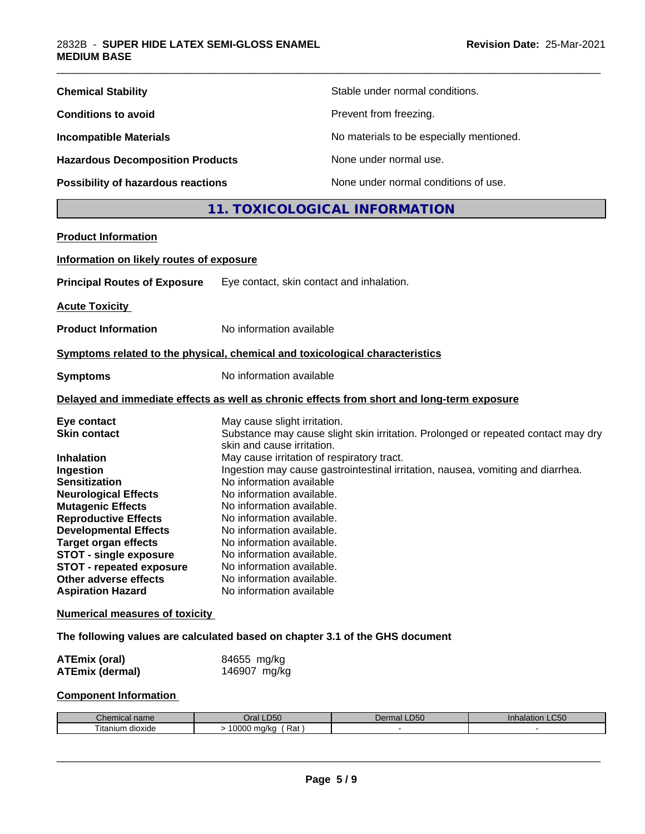| Stable under normal conditions.          |
|------------------------------------------|
| Prevent from freezing.                   |
| No materials to be especially mentioned. |
| None under normal use.                   |
| None under normal conditions of use.     |
|                                          |

## **11. TOXICOLOGICAL INFORMATION**

\_\_\_\_\_\_\_\_\_\_\_\_\_\_\_\_\_\_\_\_\_\_\_\_\_\_\_\_\_\_\_\_\_\_\_\_\_\_\_\_\_\_\_\_\_\_\_\_\_\_\_\_\_\_\_\_\_\_\_\_\_\_\_\_\_\_\_\_\_\_\_\_\_\_\_\_\_\_\_\_\_\_\_\_\_\_\_\_\_\_\_\_\_

| <b>Product Information</b>               |                                                                                                                 |
|------------------------------------------|-----------------------------------------------------------------------------------------------------------------|
| Information on likely routes of exposure |                                                                                                                 |
| <b>Principal Routes of Exposure</b>      | Eye contact, skin contact and inhalation.                                                                       |
| <b>Acute Toxicity</b>                    |                                                                                                                 |
| <b>Product Information</b>               | No information available                                                                                        |
|                                          | Symptoms related to the physical, chemical and toxicological characteristics                                    |
| <b>Symptoms</b>                          | No information available                                                                                        |
|                                          | Delayed and immediate effects as well as chronic effects from short and long-term exposure                      |
| Eye contact                              | May cause slight irritation.                                                                                    |
| <b>Skin contact</b>                      | Substance may cause slight skin irritation. Prolonged or repeated contact may dry<br>skin and cause irritation. |
| <b>Inhalation</b>                        | May cause irritation of respiratory tract.                                                                      |
| Ingestion                                | Ingestion may cause gastrointestinal irritation, nausea, vomiting and diarrhea.                                 |
| <b>Sensitization</b>                     | No information available                                                                                        |
| <b>Neurological Effects</b>              | No information available.                                                                                       |
| <b>Mutagenic Effects</b>                 | No information available.                                                                                       |
| <b>Reproductive Effects</b>              | No information available.                                                                                       |
| <b>Developmental Effects</b>             | No information available.                                                                                       |
| <b>Target organ effects</b>              | No information available.                                                                                       |
| <b>STOT - single exposure</b>            | No information available.                                                                                       |
| <b>STOT - repeated exposure</b>          | No information available.                                                                                       |
| Other adverse effects                    | No information available.                                                                                       |
| <b>Aspiration Hazard</b>                 | No information available                                                                                        |
|                                          |                                                                                                                 |

#### **Numerical measures of toxicity**

## **The following values are calculated based on chapter 3.1 of the GHS document**

| ATEmix (oral)          | 84655 mg/kg  |
|------------------------|--------------|
| <b>ATEmix (dermal)</b> | 146907 mg/kg |

## **Component Information**

| `homical<br>Chemical name | LD50<br>⊃ra⊩         | DEC<br>Dermal<br>-500 | າ LC50<br><b>Inhalation</b> |
|---------------------------|----------------------|-----------------------|-----------------------------|
| ⊺ıtanıum<br>ı dıoxıde     | 0000<br>Rat<br>ma/ka |                       |                             |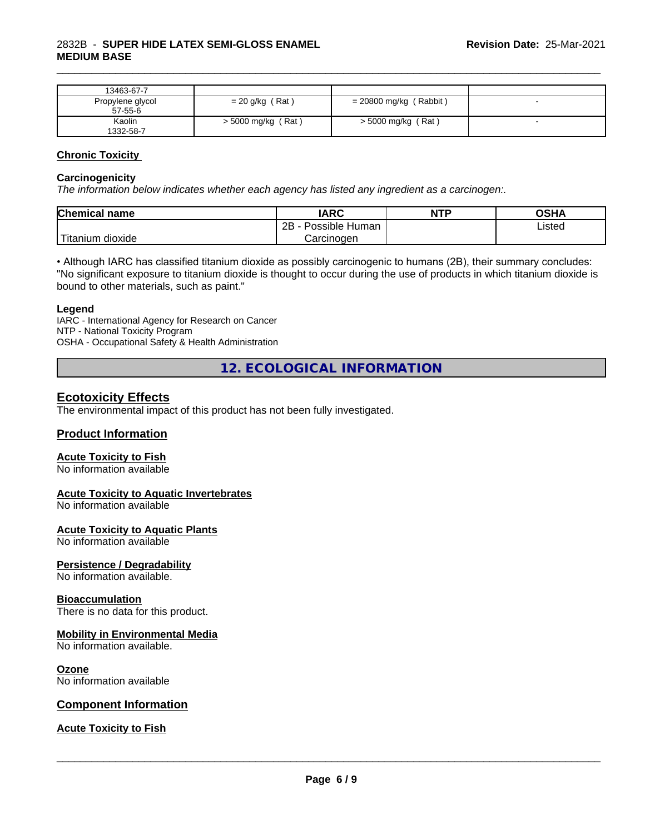| 13463-67-7                    |                      |                        |  |
|-------------------------------|----------------------|------------------------|--|
| Propylene glycol<br>$57-55-6$ | $= 20$ g/kg (Rat)    | = 20800 mg/kg (Rabbit) |  |
| Kaolin<br>1332-58-7           | $>$ 5000 mg/kg (Rat) | > 5000 mg/kg (Rat)     |  |

\_\_\_\_\_\_\_\_\_\_\_\_\_\_\_\_\_\_\_\_\_\_\_\_\_\_\_\_\_\_\_\_\_\_\_\_\_\_\_\_\_\_\_\_\_\_\_\_\_\_\_\_\_\_\_\_\_\_\_\_\_\_\_\_\_\_\_\_\_\_\_\_\_\_\_\_\_\_\_\_\_\_\_\_\_\_\_\_\_\_\_\_\_

#### **Chronic Toxicity**

#### **Carcinogenicity**

*The information below indicateswhether each agency has listed any ingredient as a carcinogen:.*

| <b>Chemical</b><br>name                                                                                                                         | <b>IARC</b>                    | <b>NTP</b> | <b>OSHA</b> |
|-------------------------------------------------------------------------------------------------------------------------------------------------|--------------------------------|------------|-------------|
|                                                                                                                                                 | .<br>2B<br>Possible<br>Human - |            | Listed      |
| <b>The Contract of the Contract of the Contract of the Contract of the Contract of the Contract of the Contract o</b><br>n dioxide<br>l itanıum | Carcinoɑen                     |            |             |

• Although IARC has classified titanium dioxide as possibly carcinogenic to humans (2B), their summary concludes: "No significant exposure to titanium dioxide is thought to occur during the use of products in which titanium dioxide is bound to other materials, such as paint."

#### **Legend**

IARC - International Agency for Research on Cancer NTP - National Toxicity Program OSHA - Occupational Safety & Health Administration

**12. ECOLOGICAL INFORMATION**

#### **Ecotoxicity Effects**

The environmental impact of this product has not been fully investigated.

#### **Product Information**

#### **Acute Toxicity to Fish**

No information available

#### **Acute Toxicity to Aquatic Invertebrates**

No information available

#### **Acute Toxicity to Aquatic Plants**

No information available

#### **Persistence / Degradability**

No information available.

#### **Bioaccumulation**

There is no data for this product.

#### **Mobility in Environmental Media**

No information available.

#### **Ozone**

No information available

#### **Component Information**

#### **Acute Toxicity to Fish**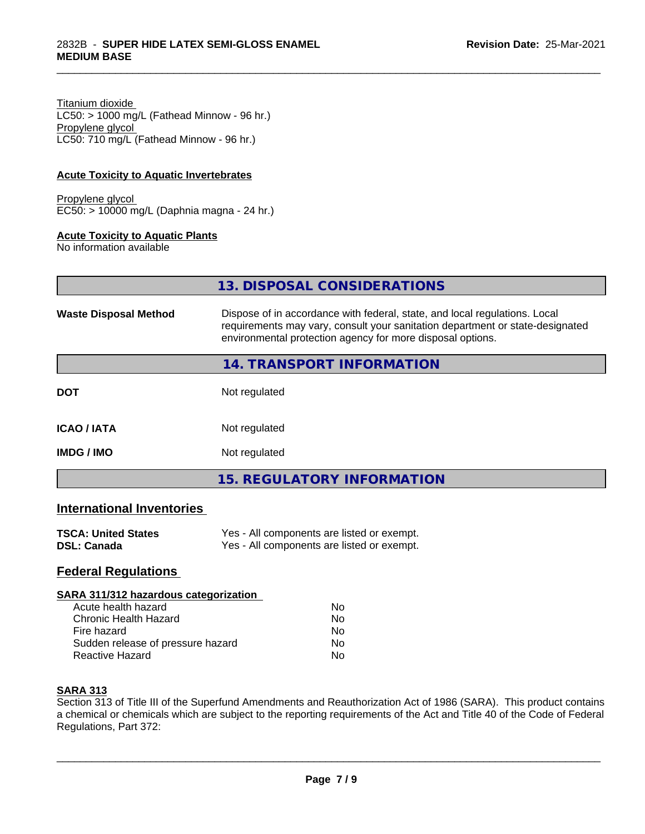Titanium dioxide  $LC50:$  > 1000 mg/L (Fathead Minnow - 96 hr.) Propylene glycol LC50: 710 mg/L (Fathead Minnow - 96 hr.)

#### **Acute Toxicity to Aquatic Invertebrates**

Propylene glycol EC50: > 10000 mg/L (Daphnia magna - 24 hr.)

#### **Acute Toxicity to Aquatic Plants**

No information available

| <u>I3. DISPOSAL CONSIDERATIONS</u> |  |
|------------------------------------|--|
|                                    |  |

**13. DISPOSAL CONSIDERATIONS**

\_\_\_\_\_\_\_\_\_\_\_\_\_\_\_\_\_\_\_\_\_\_\_\_\_\_\_\_\_\_\_\_\_\_\_\_\_\_\_\_\_\_\_\_\_\_\_\_\_\_\_\_\_\_\_\_\_\_\_\_\_\_\_\_\_\_\_\_\_\_\_\_\_\_\_\_\_\_\_\_\_\_\_\_\_\_\_\_\_\_\_\_\_

| <b>Waste Disposal Method</b> | Dispose of in accordance with federal, state, and local regulations. Local<br>requirements may vary, consult your sanitation department or state-designated<br>environmental protection agency for more disposal options. |  |  |
|------------------------------|---------------------------------------------------------------------------------------------------------------------------------------------------------------------------------------------------------------------------|--|--|
|                              | <b>14. TRANSPORT INFORMATION</b>                                                                                                                                                                                          |  |  |
| <b>DOT</b>                   | Not regulated                                                                                                                                                                                                             |  |  |
| <b>ICAO / IATA</b>           | Not regulated                                                                                                                                                                                                             |  |  |
| <b>IMDG / IMO</b>            | Not regulated                                                                                                                                                                                                             |  |  |
|                              | 15. REGULATORY INFORMATION                                                                                                                                                                                                |  |  |

#### **International Inventories**

| <b>TSCA: United States</b> | Yes - All components are listed or exempt. |
|----------------------------|--------------------------------------------|
| DSL: Canada                | Yes - All components are listed or exempt. |

#### **Federal Regulations**

#### **SARA 311/312 hazardous categorization**

| Acute health hazard               | Nο |  |
|-----------------------------------|----|--|
| Chronic Health Hazard             | N٥ |  |
| Fire hazard                       | N٥ |  |
| Sudden release of pressure hazard | Nο |  |
| Reactive Hazard                   | N٥ |  |

#### **SARA 313**

Section 313 of Title III of the Superfund Amendments and Reauthorization Act of 1986 (SARA). This product contains a chemical or chemicals which are subject to the reporting requirements of the Act and Title 40 of the Code of Federal Regulations, Part 372: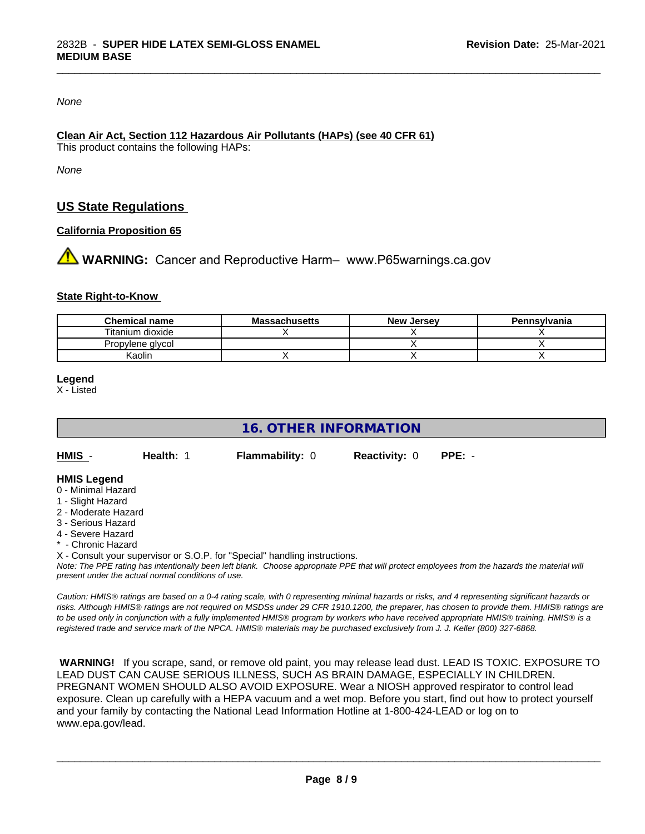*None*

#### **Clean Air Act,Section 112 Hazardous Air Pollutants (HAPs) (see 40 CFR 61)**

This product contains the following HAPs:

*None*

## **US State Regulations**

#### **California Proposition 65**

**AN** WARNING: Cancer and Reproductive Harm– www.P65warnings.ca.gov

#### **State Right-to-Know**

| <b>Chemical name</b> | <b>Massachusetts</b> | <b>New Jersey</b> | Pennsylvania |
|----------------------|----------------------|-------------------|--------------|
| Titanium dioxide     |                      |                   |              |
| Propylene glycol     |                      |                   |              |
| Kaolir               |                      |                   |              |

\_\_\_\_\_\_\_\_\_\_\_\_\_\_\_\_\_\_\_\_\_\_\_\_\_\_\_\_\_\_\_\_\_\_\_\_\_\_\_\_\_\_\_\_\_\_\_\_\_\_\_\_\_\_\_\_\_\_\_\_\_\_\_\_\_\_\_\_\_\_\_\_\_\_\_\_\_\_\_\_\_\_\_\_\_\_\_\_\_\_\_\_\_

#### **Legend**

X - Listed

## **16. OTHER INFORMATION HMIS** - **Health:** 1 **Flammability:** 0 **Reactivity:** 0 **PPE:** - **HMIS Legend** 0 - Minimal Hazard

- 1 Slight Hazard
- 2 Moderate Hazard
- 3 Serious Hazard
- 4 Severe Hazard
- **Chronic Hazard**

X - Consult your supervisor or S.O.P. for "Special" handling instructions.

*Note: The PPE rating has intentionally been left blank. Choose appropriate PPE that will protect employees from the hazards the material will present under the actual normal conditions of use.*

*Caution: HMISÒ ratings are based on a 0-4 rating scale, with 0 representing minimal hazards or risks, and 4 representing significant hazards or risks. Although HMISÒ ratings are not required on MSDSs under 29 CFR 1910.1200, the preparer, has chosen to provide them. HMISÒ ratings are to be used only in conjunction with a fully implemented HMISÒ program by workers who have received appropriate HMISÒ training. HMISÒ is a registered trade and service mark of the NPCA. HMISÒ materials may be purchased exclusively from J. J. Keller (800) 327-6868.*

 **WARNING!** If you scrape, sand, or remove old paint, you may release lead dust. LEAD IS TOXIC. EXPOSURE TO LEAD DUST CAN CAUSE SERIOUS ILLNESS, SUCH AS BRAIN DAMAGE, ESPECIALLY IN CHILDREN. PREGNANT WOMEN SHOULD ALSO AVOID EXPOSURE.Wear a NIOSH approved respirator to control lead exposure. Clean up carefully with a HEPA vacuum and a wet mop. Before you start, find out how to protect yourself and your family by contacting the National Lead Information Hotline at 1-800-424-LEAD or log on to www.epa.gov/lead.